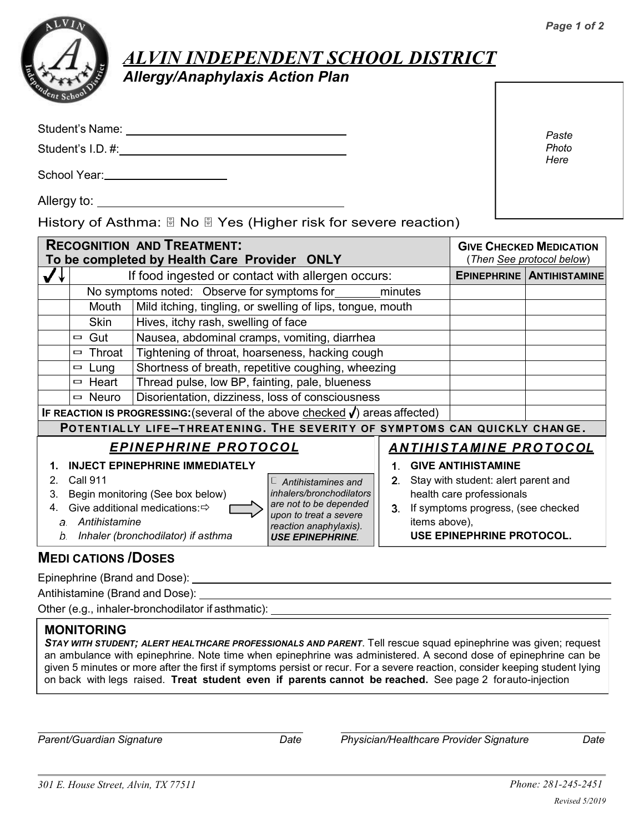

## *ALVIN INDEPENDENT SCHOOL DISTRICT*

*Allergy/Anaphylaxis Action Plan*

Student's Name:

Student's I.D. #:

School Year:

Allergy to: <u>example and the set of the set of the set of the set of the set of the set of the set of the set of the set of the set of the set of the set of the set of the set of the set of the set of the set of the set of</u>

History of Asthma:  $\Box$  No  $\Box$  Yes (Higher risk for severe reaction)

| <b>RECOGNITION AND TREATMENT:</b><br>To be completed by Health Care Provider ONLY            |                                                                                    |                                                            |                           |    |                                  | <b>GIVE CHECKED MEDICATION</b><br>(Then See protocol below) |  |  |
|----------------------------------------------------------------------------------------------|------------------------------------------------------------------------------------|------------------------------------------------------------|---------------------------|----|----------------------------------|-------------------------------------------------------------|--|--|
|                                                                                              | If food ingested or contact with allergen occurs:                                  |                                                            |                           |    | <b>EPINEPHRINE ANTIHISTAMINE</b> |                                                             |  |  |
|                                                                                              | No symptoms noted: Observe for symptoms for<br>minutes                             |                                                            |                           |    |                                  |                                                             |  |  |
|                                                                                              | Mouth                                                                              | Mild itching, tingling, or swelling of lips, tongue, mouth |                           |    |                                  |                                                             |  |  |
|                                                                                              | Skin                                                                               | Hives, itchy rash, swelling of face                        |                           |    |                                  |                                                             |  |  |
|                                                                                              | Gut<br>$\Box$                                                                      | Nausea, abdominal cramps, vomiting, diarrhea               |                           |    |                                  |                                                             |  |  |
|                                                                                              | Throat<br>$\Box$                                                                   | Tightening of throat, hoarseness, hacking cough            |                           |    |                                  |                                                             |  |  |
|                                                                                              | Lung<br>$\qquad \qquad \Box$                                                       | Shortness of breath, repetitive coughing, wheezing         |                           |    |                                  |                                                             |  |  |
|                                                                                              | Heart<br>$\Box$                                                                    | Thread pulse, low BP, fainting, pale, blueness             |                           |    |                                  |                                                             |  |  |
|                                                                                              | $\equiv$ Neuro                                                                     | Disorientation, dizziness, loss of consciousness           |                           |    |                                  |                                                             |  |  |
| <b>IF REACTION IS PROGRESSING:</b> (several of the above checked $\sqrt{}$ ) areas affected) |                                                                                    |                                                            |                           |    |                                  |                                                             |  |  |
| POTENTIALLY LIFE-THREATENING. THE SEVERITY OF SYMPTOMS CAN QUICKLY CHANGE.                   |                                                                                    |                                                            |                           |    |                                  |                                                             |  |  |
| <u>EPINEPHRINE PROTOCOL</u>                                                                  |                                                                                    |                                                            |                           |    | <u>ANTIHISTAMINE PROTOCOL</u>    |                                                             |  |  |
| <b>INJECT EPINEPHRINE IMMEDIATELY</b>                                                        |                                                                                    |                                                            |                           |    |                                  | <b>GIVE ANTIHISTAMINE</b>                                   |  |  |
| 2                                                                                            | Call 911                                                                           |                                                            | $\Box$ Antihistamines and | 2. |                                  | Stay with student: alert parent and                         |  |  |
| 3.                                                                                           | Begin monitoring (See box below)                                                   |                                                            | inhalers/bronchodilators  |    | health care professionals        |                                                             |  |  |
|                                                                                              | are not to be depended<br>Give additional medications: <<br>upon to treat a severe |                                                            |                           | 3. |                                  | If symptoms progress, (see checked                          |  |  |
| Antihistamine<br>$\partial$ .<br>reaction anaphylaxis).                                      |                                                                                    |                                                            |                           |    | items above),                    |                                                             |  |  |
| Inhaler (bronchodilator) if asthma<br>b.<br><b>USE EPINEPHRINE</b>                           |                                                                                    |                                                            |                           |    |                                  | USE EPINEPHRINE PROTOCOL.                                   |  |  |

## **MEDI CATIONS /DOSES**

Epinephrine (Brand and Dose):

Antihistamine (Brand and Dose):

Other (e.g., inhaler-bronchodilator if asthmatic):

## **MONITORING**

*STAY WITH STUDENT; ALERT HEALTHCARE PROFESSIONALS AND PARENT*. Tell rescue squad epinephrine was given; request an ambulance with epinephrine. Note time when epinephrine was administered. A second dose of epinephrine can be given 5 minutes or more after the first if symptoms persist or recur. For a severe reaction, consider keeping student lying on back with legs raised. **Treat student even if parents cannot be reached.** See page 2 forauto-injection

*Parent/Guardian Signature Date Physician/Healthcare Provider Signature Date*

*Paste*  Photo *Here*